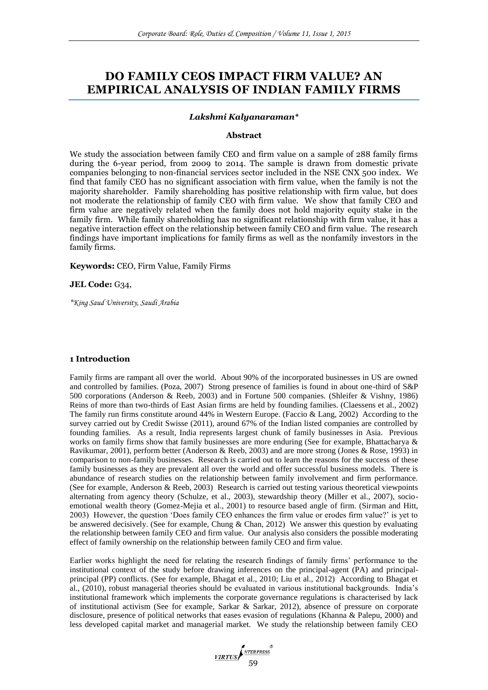# **DO FAMILY CEOS IMPACT FIRM VALUE? AN EMPIRICAL ANALYSIS OF INDIAN FAMILY FIRMS**

#### *Lakshmi Kalyanaraman\**

#### **Abstract**

We study the association between family CEO and firm value on a sample of 288 family firms during the 6-year period, from 2009 to 2014. The sample is drawn from domestic private companies belonging to non-financial services sector included in the NSE CNX 500 index. We find that family CEO has no significant association with firm value, when the family is not the majority shareholder. Family shareholding has positive relationship with firm value, but does not moderate the relationship of family CEO with firm value. We show that family CEO and firm value are negatively related when the family does not hold majority equity stake in the family firm. While family shareholding has no significant relationship with firm value, it has a negative interaction effect on the relationship between family CEO and firm value. The research findings have important implications for family firms as well as the nonfamily investors in the family firms.

**Keywords:** CEO, Firm Value, Family Firms

#### **JEL Code:** G34,

*\*King Saud University, Saudi Arabia*

# **1 Introduction**

Family firms are rampant all over the world. About 90% of the incorporated businesses in US are owned and controlled by families. (Poza, 2007) Strong presence of families is found in about one-third of S&P 500 corporations (Anderson & Reeb, 2003) and in Fortune 500 companies. (Shleifer & Vishny, 1986) Reins of more than two-thirds of East Asian firms are held by founding families. (Claessens et al., 2002) The family run firms constitute around 44% in Western Europe. (Faccio & Lang, 2002) According to the survey carried out by Credit Swisse (2011), around 67% of the Indian listed companies are controlled by founding families. As a result, India represents largest chunk of family businesses in Asia. Previous works on family firms show that family businesses are more enduring (See for example, Bhattacharya & Ravikumar, 2001), perform better (Anderson & Reeb, 2003) and are more strong (Jones & Rose, 1993) in comparison to non-family businesses. Research is carried out to learn the reasons for the success of these family businesses as they are prevalent all over the world and offer successful business models. There is abundance of research studies on the relationship between family involvement and firm performance. (See for example, Anderson & Reeb, 2003) Research is carried out testing various theoretical viewpoints alternating from agency theory (Schulze, et al., 2003), stewardship theory (Miller et al., 2007), socioemotional wealth theory (Gomez-Mejia et al., 2001) to resource based angle of firm. (Sirman and Hitt, 2003) However, the question 'Does family CEO enhances the firm value or erodes firm value?' is yet to be answered decisively. (See for example, Chung & Chan, 2012) We answer this question by evaluating the relationship between family CEO and firm value. Our analysis also considers the possible moderating effect of family ownership on the relationship between family CEO and firm value.

Earlier works highlight the need for relating the research findings of family firms' performance to the institutional context of the study before drawing inferences on the principal-agent (PA) and principalprincipal (PP) conflicts. (See for example, Bhagat et al., 2010; Liu et al., 2012) According to Bhagat et al., (2010), robust managerial theories should be evaluated in various institutional backgrounds. India's institutional framework which implements the corporate governance regulations is characterised by lack of institutional activism (See for example, Sarkar & Sarkar, 2012), absence of pressure on corporate disclosure, presence of political networks that eases evasion of regulations (Khanna & Palepu, 2000) and less developed capital market and managerial market. We study the relationship between family CEO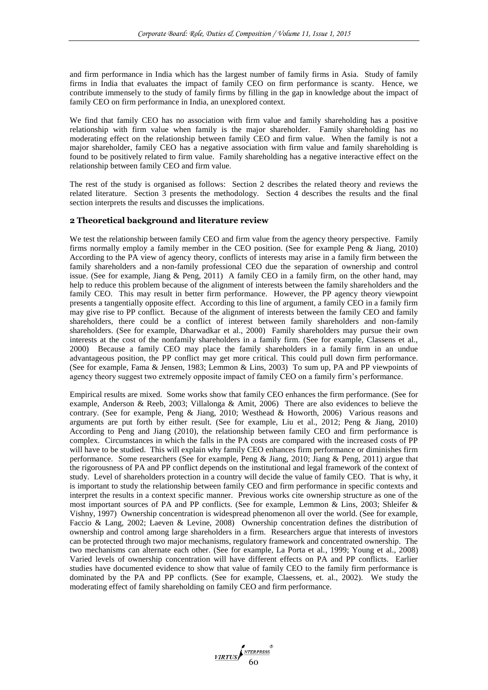and firm performance in India which has the largest number of family firms in Asia. Study of family firms in India that evaluates the impact of family CEO on firm performance is scanty. Hence, we contribute immensely to the study of family firms by filling in the gap in knowledge about the impact of family CEO on firm performance in India, an unexplored context.

We find that family CEO has no association with firm value and family shareholding has a positive relationship with firm value when family is the major shareholder. Family shareholding has no moderating effect on the relationship between family CEO and firm value. When the family is not a major shareholder, family CEO has a negative association with firm value and family shareholding is found to be positively related to firm value. Family shareholding has a negative interactive effect on the relationship between family CEO and firm value.

The rest of the study is organised as follows: Section 2 describes the related theory and reviews the related literature. Section 3 presents the methodology. Section 4 describes the results and the final section interprets the results and discusses the implications.

# **2 Theoretical background and literature review**

We test the relationship between family CEO and firm value from the agency theory perspective. Family firms normally employ a family member in the CEO position. (See for example Peng & Jiang, 2010) According to the PA view of agency theory, conflicts of interests may arise in a family firm between the family shareholders and a non-family professional CEO due the separation of ownership and control issue. (See for example, Jiang & Peng, 2011) A family CEO in a family firm, on the other hand, may help to reduce this problem because of the alignment of interests between the family shareholders and the family CEO. This may result in better firm performance. However, the PP agency theory viewpoint presents a tangentially opposite effect. According to this line of argument, a family CEO in a family firm may give rise to PP conflict. Because of the alignment of interests between the family CEO and family shareholders, there could be a conflict of interest between family shareholders and non-family shareholders. (See for example, Dharwadkar et al., 2000) Family shareholders may pursue their own interests at the cost of the nonfamily shareholders in a family firm. (See for example, Classens et al., 2000) Because a family CEO may place the family shareholders in a family firm in an undue advantageous position, the PP conflict may get more critical. This could pull down firm performance. (See for example, Fama & Jensen, 1983; Lemmon & Lins, 2003) To sum up, PA and PP viewpoints of agency theory suggest two extremely opposite impact of family CEO on a family firm's performance.

Empirical results are mixed. Some works show that family CEO enhances the firm performance. (See for example, Anderson & Reeb, 2003; Villalonga & Amit, 2006) There are also evidences to believe the contrary. (See for example, Peng & Jiang, 2010; Westhead & Howorth, 2006) Various reasons and arguments are put forth by either result. (See for example, Liu et al., 2012; Peng & Jiang, 2010) According to Peng and Jiang (2010), the relationship between family CEO and firm performance is complex. Circumstances in which the falls in the PA costs are compared with the increased costs of PP will have to be studied. This will explain why family CEO enhances firm performance or diminishes firm performance. Some researchers (See for example, Peng & Jiang, 2010; Jiang & Peng, 2011) argue that the rigorousness of PA and PP conflict depends on the institutional and legal framework of the context of study. Level of shareholders protection in a country will decide the value of family CEO. That is why, it is important to study the relationship between family CEO and firm performance in specific contexts and interpret the results in a context specific manner. Previous works cite ownership structure as one of the most important sources of PA and PP conflicts. (See for example, Lemmon & Lins, 2003; Shleifer & Vishny, 1997) Ownership concentration is widespread phenomenon all over the world. (See for example, Faccio & Lang, 2002; Laeven & Levine, 2008) Ownership concentration defines the distribution of ownership and control among large shareholders in a firm. Researchers argue that interests of investors can be protected through two major mechanisms, regulatory framework and concentrated ownership. The two mechanisms can alternate each other. (See for example, La Porta et al., 1999; Young et al., 2008) Varied levels of ownership concentration will have different effects on PA and PP conflicts. Earlier studies have documented evidence to show that value of family CEO to the family firm performance is dominated by the PA and PP conflicts. (See for example, Claessens, et. al., 2002). We study the moderating effect of family shareholding on family CEO and firm performance.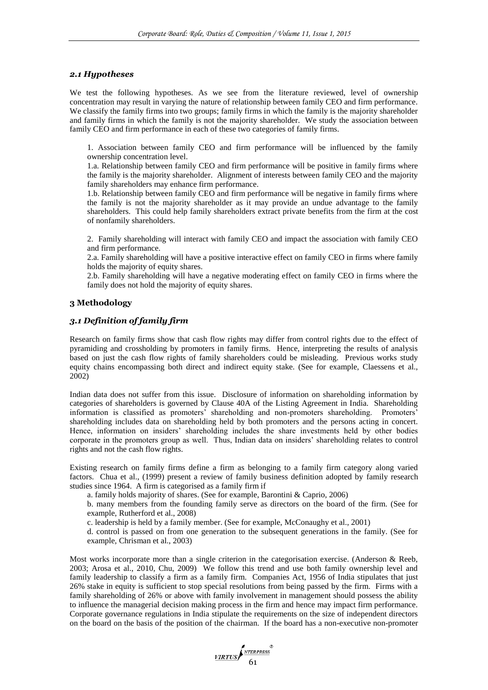#### *2.1 Hypotheses*

We test the following hypotheses. As we see from the literature reviewed, level of ownership concentration may result in varying the nature of relationship between family CEO and firm performance. We classify the family firms into two groups; family firms in which the family is the majority shareholder and family firms in which the family is not the majority shareholder. We study the association between family CEO and firm performance in each of these two categories of family firms.

1. Association between family CEO and firm performance will be influenced by the family ownership concentration level.

1.a. Relationship between family CEO and firm performance will be positive in family firms where the family is the majority shareholder. Alignment of interests between family CEO and the majority family shareholders may enhance firm performance.

1.b. Relationship between family CEO and firm performance will be negative in family firms where the family is not the majority shareholder as it may provide an undue advantage to the family shareholders. This could help family shareholders extract private benefits from the firm at the cost of nonfamily shareholders.

2. Family shareholding will interact with family CEO and impact the association with family CEO and firm performance.

2.a. Family shareholding will have a positive interactive effect on family CEO in firms where family holds the majority of equity shares.

2.b. Family shareholding will have a negative moderating effect on family CEO in firms where the family does not hold the majority of equity shares.

# **3 Methodology**

# *3.1 Definition of family firm*

Research on family firms show that cash flow rights may differ from control rights due to the effect of pyramiding and crossholding by promoters in family firms. Hence, interpreting the results of analysis based on just the cash flow rights of family shareholders could be misleading. Previous works study equity chains encompassing both direct and indirect equity stake. (See for example, Claessens et al., 2002)

Indian data does not suffer from this issue. Disclosure of information on shareholding information by categories of shareholders is governed by Clause 40A of the Listing Agreement in India. Shareholding information is classified as promoters' shareholding and non-promoters shareholding. Promoters' shareholding includes data on shareholding held by both promoters and the persons acting in concert. Hence, information on insiders' shareholding includes the share investments held by other bodies corporate in the promoters group as well. Thus, Indian data on insiders' shareholding relates to control rights and not the cash flow rights.

Existing research on family firms define a firm as belonging to a family firm category along varied factors. Chua et al., (1999) present a review of family business definition adopted by family research studies since 1964. A firm is categorised as a family firm if

a. family holds majority of shares. (See for example, Barontini & Caprio, 2006)

b. many members from the founding family serve as directors on the board of the firm. (See for example, Rutherford et al., 2008)

c. leadership is held by a family member. (See for example, McConaughy et al., 2001)

d. control is passed on from one generation to the subsequent generations in the family. (See for example, Chrisman et al., 2003)

Most works incorporate more than a single criterion in the categorisation exercise. (Anderson & Reeb, 2003; Arosa et al., 2010, Chu, 2009) We follow this trend and use both family ownership level and family leadership to classify a firm as a family firm. Companies Act, 1956 of India stipulates that just 26% stake in equity is sufficient to stop special resolutions from being passed by the firm. Firms with a family shareholding of 26% or above with family involvement in management should possess the ability to influence the managerial decision making process in the firm and hence may impact firm performance. Corporate governance regulations in India stipulate the requirements on the size of independent directors on the board on the basis of the position of the chairman. If the board has a non-executive non-promoter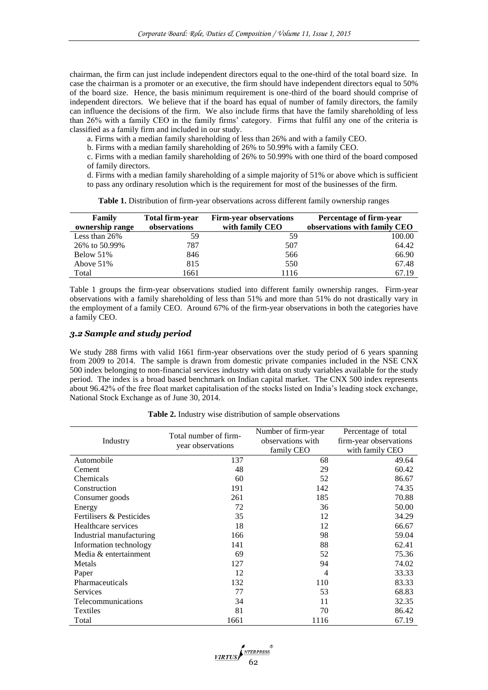chairman, the firm can just include independent directors equal to the one-third of the total board size. In case the chairman is a promoter or an executive, the firm should have independent directors equal to 50% of the board size. Hence, the basis minimum requirement is one-third of the board should comprise of independent directors. We believe that if the board has equal of number of family directors, the family can influence the decisions of the firm. We also include firms that have the family shareholding of less than 26% with a family CEO in the family firms' category. Firms that fulfil any one of the criteria is classified as a family firm and included in our study.

a. Firms with a median family shareholding of less than 26% and with a family CEO.

b. Firms with a median family shareholding of 26% to 50.99% with a family CEO.

c. Firms with a median family shareholding of 26% to 50.99% with one third of the board composed of family directors.

d. Firms with a median family shareholding of a simple majority of 51% or above which is sufficient to pass any ordinary resolution which is the requirement for most of the businesses of the firm.

| Family<br>ownership range | Total firm-year<br>observations | <b>Firm-year observations</b><br>with family CEO | Percentage of firm-year<br>observations with family CEO |
|---------------------------|---------------------------------|--------------------------------------------------|---------------------------------------------------------|
| Less than 26%             | 59                              | 59                                               | 100.00                                                  |
| 26% to 50.99%             | 787                             | 507                                              | 64.42                                                   |
| Below 51%                 | 846                             | 566                                              | 66.90                                                   |
| Above $51\%$              | 815                             | 550                                              | 67.48                                                   |
| Total                     | 1661                            | 1116                                             | 67.19                                                   |

**Table 1.** Distribution of firm-year observations across different family ownership ranges

Table 1 groups the firm-year observations studied into different family ownership ranges. Firm-year observations with a family shareholding of less than 51% and more than 51% do not drastically vary in the employment of a family CEO. Around 67% of the firm-year observations in both the categories have a family CEO.

#### *3.2 Sample and study period*

We study 288 firms with valid 1661 firm-year observations over the study period of 6 years spanning from 2009 to 2014. The sample is drawn from domestic private companies included in the NSE CNX 500 index belonging to non-financial services industry with data on study variables available for the study period. The index is a broad based benchmark on Indian capital market. The CNX 500 index represents about 96.42% of the free float market capitalisation of the stocks listed on India's leading stock exchange, National Stock Exchange as of June 30, 2014.

|                          | Total number of firm- | Number of firm-year | Percentage of total    |  |
|--------------------------|-----------------------|---------------------|------------------------|--|
| Industry                 |                       | observations with   | firm-year observations |  |
|                          | year observations     | family CEO          | with family CEO        |  |
| Automobile               | 137                   | 68                  | 49.64                  |  |
| Cement                   | 48                    | 29                  | 60.42                  |  |
| Chemicals                | 60                    | 52                  | 86.67                  |  |
| Construction             | 191                   | 142                 | 74.35                  |  |
| Consumer goods           | 261                   | 185                 | 70.88                  |  |
| Energy                   | 72                    | 36                  | 50.00                  |  |
| Fertilisers & Pesticides | 35                    | 12                  | 34.29                  |  |
| Healthcare services      | 18                    | 12                  | 66.67                  |  |
| Industrial manufacturing | 166                   | 98                  | 59.04                  |  |
| Information technology   | 141                   | 88                  | 62.41                  |  |
| Media & entertainment    | 69                    | 52                  | 75.36                  |  |
| Metals                   | 127                   | 94                  | 74.02                  |  |
| Paper                    | 12                    | 4                   | 33.33                  |  |
| Pharmaceuticals          | 132                   | 110                 | 83.33                  |  |
| Services                 | 77                    | 53                  | 68.83                  |  |
| Telecommunications       | 34                    | 11                  | 32.35                  |  |
| Textiles                 | 81                    | 70                  | 86.42                  |  |
| Total                    | 1661                  | 1116                | 67.19                  |  |

**Table 2.** Industry wise distribution of sample observations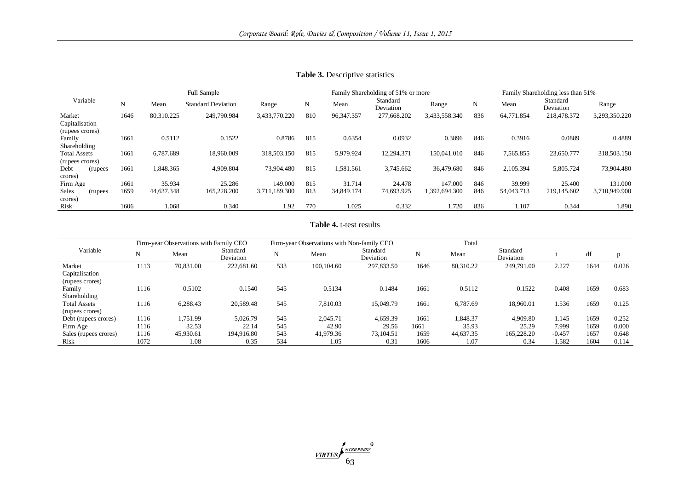|                     |      |            | <b>Full Sample</b>        |               | Family Shareholding of 51% or more |              |                       |               | Family Shareholding less than 51% |            |                       |               |
|---------------------|------|------------|---------------------------|---------------|------------------------------------|--------------|-----------------------|---------------|-----------------------------------|------------|-----------------------|---------------|
| Variable            | N    | Mean       | <b>Standard Deviation</b> | Range         | N                                  | Mean         | Standard<br>Deviation | Range         | N                                 | Mean       | Standard<br>Deviation | Range         |
| Market              | 1646 | 80,310.225 | 249,790.984               | 3,433,770.220 | 810                                | 96, 347. 357 | 277,668.202           | 3,433,558.340 | 836                               | 64,771.854 | 218,478.372           | 3,293,350.220 |
| Capitalisation      |      |            |                           |               |                                    |              |                       |               |                                   |            |                       |               |
| (rupees crores)     |      |            |                           |               |                                    |              |                       |               |                                   |            |                       |               |
| Family              | 1661 | 0.5112     | 0.1522                    | 0.8786        | 815                                | 0.6354       | 0.0932                | 0.3896        | 846                               | 0.3916     | 0.0889                | 0.4889        |
| Shareholding        |      |            |                           |               |                                    |              |                       |               |                                   |            |                       |               |
| <b>Total Assets</b> | 1661 | 6.787.689  | 18,960.009                | 318,503.150   | 815                                | 5.979.924    | 12.294.371            | 150,041.010   | 846                               | 7,565.855  | 23,650.777            | 318,503.150   |
| (rupees crores)     |      |            |                           |               |                                    |              |                       |               |                                   |            |                       |               |
| Debt<br>(rupees)    | 1661 | 1,848.365  | 4,909.804                 | 73,904.480    | 815                                | 1,581.561    | 3,745.662             | 36,479,680    | 846                               | 2,105.394  | 5,805.724             | 73,904.480    |
| crores)             |      |            |                           |               |                                    |              |                       |               |                                   |            |                       |               |
| Firm Age            | 1661 | 35.934     | 25.286                    | 149.000       | 815                                | 31.714       | 24.478                | 147.000       | 846                               | 39.999     | 25.400                | 131.000       |
| Sales<br>(rupees)   | 1659 | 44.637.348 | 165,228.200               | 3,711,189.300 | 813                                | 34,849.174   | 74,693.925            | 1,392,694.300 | 846                               | 54,043.713 | 219,145.602           | 3,710,949.900 |
| crores)             |      |            |                           |               |                                    |              |                       |               |                                   |            |                       |               |
| Risk                | 1606 | 1.068      | 0.340                     | 1.92          | 770                                | 1.025        | 0.332                 | 1.720         | 836                               | 1.107      | 0.344                 | 1.890         |

**Table 3.** Descriptive statistics

# **Table 4.** t-test results

|                       | Firm-year Observations with Family CEO |           |                       |     |            | Firm-year Observations with Non-family CEO |      |           |                       |          |      |       |
|-----------------------|----------------------------------------|-----------|-----------------------|-----|------------|--------------------------------------------|------|-----------|-----------------------|----------|------|-------|
| Variable              | N                                      | Mean      | Standard<br>Deviation | N   | Mean       | Standard<br>Deviation                      |      | Mean      | Standard<br>Deviation |          | df   |       |
| Market                | 1113                                   | 70,831.00 | 222,681.60            | 533 | 100,104.60 | 297,833.50                                 | 1646 | 80,310.22 | 249,791.00            | 2.227    | 1644 | 0.026 |
| Capitalisation        |                                        |           |                       |     |            |                                            |      |           |                       |          |      |       |
| (rupees crores)       |                                        |           |                       |     |            |                                            |      |           |                       |          |      |       |
| Family                | 1116                                   | 0.5102    | 0.1540                | 545 | 0.5134     | 0.1484                                     | 1661 | 0.5112    | 0.1522                | 0.408    | 1659 | 0.683 |
| Shareholding          |                                        |           |                       |     |            |                                            |      |           |                       |          |      |       |
| <b>Total Assets</b>   | 1116                                   | 6,288.43  | 20,589.48             | 545 | 7.810.03   | 15,049.79                                  | 1661 | 6,787.69  | 18.960.01             | 1.536    | 1659 | 0.125 |
| (rupees crores)       |                                        |           |                       |     |            |                                            |      |           |                       |          |      |       |
| Debt (rupees crores)  | 1116                                   | 1,751.99  | 5.026.79              | 545 | 2,045.71   | 4.659.39                                   | 1661 | 1,848.37  | 4,909.80              | 1.145    | 1659 | 0.252 |
| Firm Age              | 1116                                   | 32.53     | 22.14                 | 545 | 42.90      | 29.56                                      | 1661 | 35.93     | 25.29                 | 7.999    | 1659 | 0.000 |
| Sales (rupees crores) | 1116                                   | 45,930.61 | 194.916.80            | 543 | 41,979.36  | 73.104.51                                  | 1659 | 44,637.35 | 165,228.20            | $-0.457$ | 1657 | 0.648 |
| Risk                  | 1072                                   | 1.08      | 0.35                  | 534 | 1.05       | 0.31                                       | 1606 | 1.07      | 0.34                  | $-1.582$ | 1604 | 0.114 |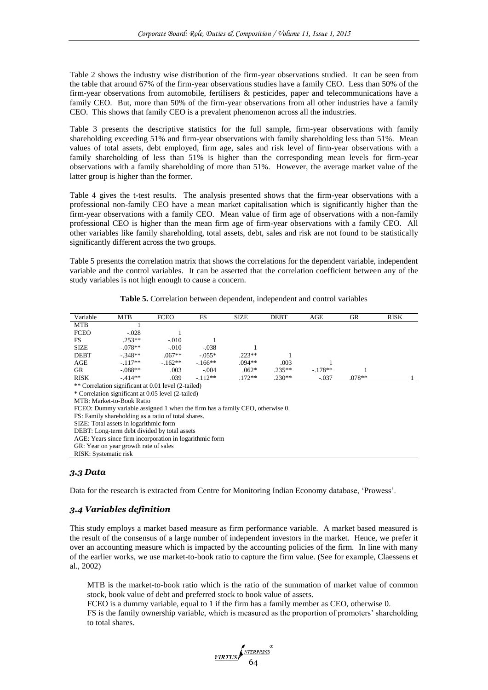Table 2 shows the industry wise distribution of the firm-year observations studied. It can be seen from the table that around 67% of the firm-year observations studies have a family CEO. Less than 50% of the firm-year observations from automobile, fertilisers & pesticides, paper and telecommunications have a family CEO. But, more than 50% of the firm-year observations from all other industries have a family CEO. This shows that family CEO is a prevalent phenomenon across all the industries.

Table 3 presents the descriptive statistics for the full sample, firm-year observations with family shareholding exceeding 51% and firm-year observations with family shareholding less than 51%. Mean values of total assets, debt employed, firm age, sales and risk level of firm-year observations with a family shareholding of less than 51% is higher than the corresponding mean levels for firm-year observations with a family shareholding of more than 51%. However, the average market value of the latter group is higher than the former.

Table 4 gives the t-test results. The analysis presented shows that the firm-year observations with a professional non-family CEO have a mean market capitalisation which is significantly higher than the firm-year observations with a family CEO. Mean value of firm age of observations with a non-family professional CEO is higher than the mean firm age of firm-year observations with a family CEO. All other variables like family shareholding, total assets, debt, sales and risk are not found to be statistically significantly different across the two groups.

Table 5 presents the correlation matrix that shows the correlations for the dependent variable, independent variable and the control variables. It can be asserted that the correlation coefficient between any of the study variables is not high enough to cause a concern.

| Table 5. Correlation between dependent, independent and control variables |  |
|---------------------------------------------------------------------------|--|
|---------------------------------------------------------------------------|--|

| Variable    | <b>MTB</b> | <b>FCEO</b> | FS       | <b>SIZE</b> | <b>DEBT</b> | AGE      | GR       | <b>RISK</b> |
|-------------|------------|-------------|----------|-------------|-------------|----------|----------|-------------|
| <b>MTB</b>  |            |             |          |             |             |          |          |             |
| <b>FCEO</b> | $-.028$    |             |          |             |             |          |          |             |
| FS.         | $.253**$   | $-.010$     |          |             |             |          |          |             |
| <b>SIZE</b> | $-.078**$  | $-.010$     | $-.038$  |             |             |          |          |             |
| <b>DEBT</b> | $-.348**$  | $.067**$    | $-.055*$ | $.223**$    |             |          |          |             |
| AGE         | $-117**$   | $-.162**$   | $-166**$ | $.094**$    | .003        |          |          |             |
| GR          | $-.088**$  | .003        | $-.004$  | $.062*$     | $.235**$    | $-178**$ |          |             |
| <b>RISK</b> | $-414**$   | .039        | $-112**$ | $.172**$    | $.230**$    | $-.037$  | $.078**$ |             |

\*\* Correlation significant at 0.01 level (2-tailed)

\* Correlation significant at 0.05 level (2-tailed)

MTB: Market-to-Book Ratio

FCEO: Dummy variable assigned 1 when the firm has a family CEO, otherwise 0.

FS: Family shareholding as a ratio of total shares.

SIZE: Total assets in logarithmic form

DEBT: Long-term debt divided by total assets

AGE: Years since firm incorporation in logarithmic form

GR: Year on year growth rate of sales

# *3.3 Data*

Data for the research is extracted from Centre for Monitoring Indian Economy database, 'Prowess'.

# *3.4 Variables definition*

This study employs a market based measure as firm performance variable. A market based measured is the result of the consensus of a large number of independent investors in the market. Hence, we prefer it over an accounting measure which is impacted by the accounting policies of the firm. In line with many of the earlier works, we use market-to-book ratio to capture the firm value. (See for example, Claessens et al., 2002)

MTB is the market-to-book ratio which is the ratio of the summation of market value of common stock, book value of debt and preferred stock to book value of assets.

FCEO is a dummy variable, equal to 1 if the firm has a family member as CEO, otherwise 0. FS is the family ownership variable, which is measured as the proportion of promoters' shareholding to total shares.



RISK: Systematic risk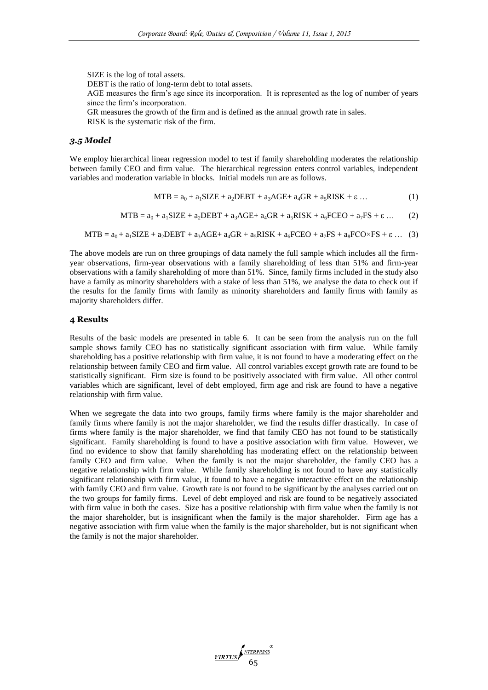SIZE is the log of total assets. DEBT is the ratio of long-term debt to total assets. AGE measures the firm's age since its incorporation. It is represented as the log of number of years since the firm's incorporation. GR measures the growth of the firm and is defined as the annual growth rate in sales. RISK is the systematic risk of the firm.

#### *3.5 Model*

We employ hierarchical linear regression model to test if family shareholding moderates the relationship between family CEO and firm value. The hierarchical regression enters control variables, independent variables and moderation variable in blocks. Initial models run are as follows.

$$
MTB = a_0 + a_1SIZE + a_2DEBT + a_3AGE + a_4GR + a_5RISK + \varepsilon \dots \tag{1}
$$

$$
MTB = a_0 + a_1 SIZE + a_2 DEBT + a_3 AGE + a_4 GR + a_5 RISK + a_6 FCEO + a_7 FS + \epsilon ... \qquad (2)
$$

$$
MTB = a_0 + a_1 SIZE + a_2 DEBT + a_3AGE + a_4 GR + a_5 RISK + a_6 FCEO + a_7 FS + a_8 FCO \times FS + \varepsilon \dots (3)
$$

The above models are run on three groupings of data namely the full sample which includes all the firmyear observations, firm-year observations with a family shareholding of less than 51% and firm-year observations with a family shareholding of more than 51%. Since, family firms included in the study also have a family as minority shareholders with a stake of less than 51%, we analyse the data to check out if the results for the family firms with family as minority shareholders and family firms with family as majority shareholders differ.

#### **4 Results**

Results of the basic models are presented in table 6. It can be seen from the analysis run on the full sample shows family CEO has no statistically significant association with firm value. While family shareholding has a positive relationship with firm value, it is not found to have a moderating effect on the relationship between family CEO and firm value. All control variables except growth rate are found to be statistically significant. Firm size is found to be positively associated with firm value. All other control variables which are significant, level of debt employed, firm age and risk are found to have a negative relationship with firm value.

When we segregate the data into two groups, family firms where family is the major shareholder and family firms where family is not the major shareholder, we find the results differ drastically. In case of firms where family is the major shareholder, we find that family CEO has not found to be statistically significant. Family shareholding is found to have a positive association with firm value. However, we find no evidence to show that family shareholding has moderating effect on the relationship between family CEO and firm value. When the family is not the major shareholder, the family CEO has a negative relationship with firm value. While family shareholding is not found to have any statistically significant relationship with firm value, it found to have a negative interactive effect on the relationship with family CEO and firm value. Growth rate is not found to be significant by the analyses carried out on the two groups for family firms. Level of debt employed and risk are found to be negatively associated with firm value in both the cases. Size has a positive relationship with firm value when the family is not the major shareholder, but is insignificant when the family is the major shareholder. Firm age has a negative association with firm value when the family is the major shareholder, but is not significant when the family is not the major shareholder.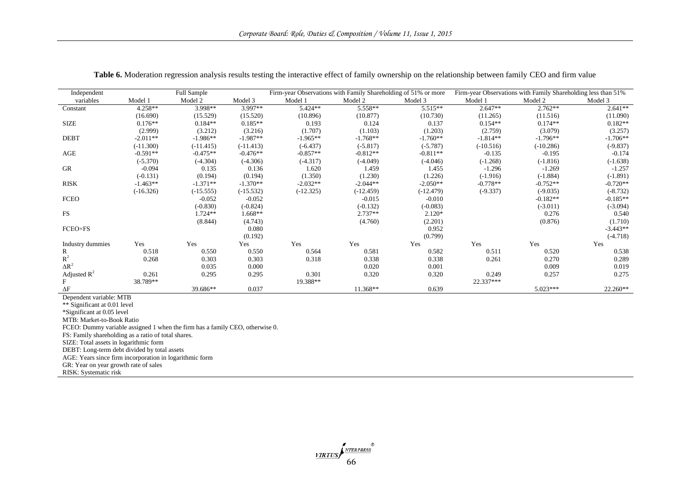| Independent      |             | Full Sample |             |             | Firm-year Observations with Family Shareholding of 51% or more |             |             | Firm-year Observations with Family Shareholding less than 51% |            |
|------------------|-------------|-------------|-------------|-------------|----------------------------------------------------------------|-------------|-------------|---------------------------------------------------------------|------------|
| variables        | Model 1     | Model 2     | Model 3     | Model 1     | Model 2                                                        | Model 3     | Model 1     | Model 2                                                       | Model 3    |
| Constant         | $4.258**$   | 3.998**     | 3.997**     | $5.424**$   | 5.558**                                                        | $5.515**$   | $2.647**$   | $2.762**$                                                     | $2.641**$  |
|                  | (16.690)    | (15.529)    | (15.520)    | (10.896)    | (10.877)                                                       | (10.730)    | (11.265)    | (11.516)                                                      | (11.090)   |
| <b>SIZE</b>      | $0.176**$   | $0.184**$   | $0.185**$   | 0.193       | 0.124                                                          | 0.137       | $0.154**$   | $0.174**$                                                     | $0.182**$  |
|                  | (2.999)     | (3.212)     | (3.216)     | (1.707)     | (1.103)                                                        | (1.203)     | (2.759)     | (3.079)                                                       | (3.257)    |
| <b>DEBT</b>      | $-2.011**$  | $-1.986**$  | $-1.987**$  | $-1.965**$  | $-1.768**$                                                     | $-1.760**$  | $-1.814**$  | $-1.796**$                                                    | $-1.706**$ |
|                  | $(-11.300)$ | $(-11.415)$ | $(-11.413)$ | $(-6.437)$  | $(-5.817)$                                                     | $(-5.787)$  | $(-10.516)$ | $(-10.286)$                                                   | $(-9.837)$ |
| AGE              | $-0.591**$  | $-0.475**$  | $-0.476**$  | $-0.857**$  | $-0.812**$                                                     | $-0.811**$  | $-0.135$    | $-0.195$                                                      | $-0.174$   |
|                  | $(-5.370)$  | $(-4.304)$  | $(-4.306)$  | $(-4.317)$  | $(-4.049)$                                                     | $(-4.046)$  | $(-1.268)$  | $(-1.816)$                                                    | $(-1.638)$ |
| $G$ R            | $-0.094$    | 0.135       | 0.136       | 1.620       | 1.459                                                          | 1.455       | $-1.296$    | $-1.269$                                                      | $-1.257$   |
|                  | $(-0.131)$  | (0.194)     | (0.194)     | (1.350)     | (1.230)                                                        | (1.226)     | $(-1.916)$  | $(-1.884)$                                                    | $(-1.891)$ |
| <b>RISK</b>      | $-1.463**$  | $-1.371**$  | $-1.370**$  | $-2.032**$  | $-2.044**$                                                     | $-2.050**$  | $-0.778**$  | $-0.752**$                                                    | $-0.720**$ |
|                  | $(-16.326)$ | $(-15.555)$ | $(-15.532)$ | $(-12.325)$ | $(-12.459)$                                                    | $(-12.479)$ | $(-9.337)$  | $(-9.035)$                                                    | $(-8.732)$ |
| <b>FCEO</b>      |             | $-0.052$    | $-0.052$    |             | $-0.015$                                                       | $-0.010$    |             | $-0.182**$                                                    | $-0.185**$ |
|                  |             | $(-0.830)$  | $(-0.824)$  |             | $(-0.132)$                                                     | $(-0.083)$  |             | $(-3.011)$                                                    | $(-3.094)$ |
| <b>FS</b>        |             | 1.724**     | 1.668**     |             | $2.737**$                                                      | $2.120*$    |             | 0.276                                                         | 0.540      |
|                  |             | (8.844)     | (4.743)     |             | (4.760)                                                        | (2.201)     |             | (0.876)                                                       | (1.710)    |
| <b>FCEO×FS</b>   |             |             | 0.080       |             |                                                                | 0.952       |             |                                                               | $-3.443**$ |
|                  |             |             | (0.192)     |             |                                                                | (0.799)     |             |                                                               | $(-4.718)$ |
| Industry dummies | Yes         | Yes         | Yes         | Yes         | Yes                                                            | Yes         | Yes         | Yes                                                           | Yes        |
| R                | 0.518       | 0.550       | 0.550       | 0.564       | 0.581                                                          | 0.582       | 0.511       | 0.520                                                         | 0.538      |
| $R^2$            | 0.268       | 0.303       | 0.303       | 0.318       | 0.338                                                          | 0.338       | 0.261       | 0.270                                                         | 0.289      |
| $\Delta R^2$     |             | 0.035       | 0.000       |             | 0.020                                                          | 0.001       |             | 0.009                                                         | 0.019      |
| Adjusted $R^2$   | 0.261       | 0.295       | 0.295       | 0.301       | 0.320                                                          | 0.320       | 0.249       | 0.257                                                         | 0.275      |
| F                | 38.789**    |             |             | 19.388**    |                                                                |             | 22.337***   |                                                               |            |
| $\Delta F$       |             | 39.686**    | 0.037       |             | 11.368**                                                       | 0.639       |             | $5.023***$                                                    | $22.260**$ |

**Table 6.** Moderation regression analysis results testing the interactive effect of family ownership on the relationship between family CEO and firm value

Dependent variable: MTB

\*\* Significant at 0.01 level

\*Significant at 0.05 level

MTB: Market-to-Book Ratio

FCEO: Dummy variable assigned 1 when the firm has a family CEO, otherwise 0.

FS: Family shareholding as a ratio of total shares.

SIZE: Total assets in logarithmic form

DEBT: Long-term debt divided by total assets

AGE: Years since firm incorporation in logarithmic form

GR: Year on year growth rate of sales

RISK: Systematic risk

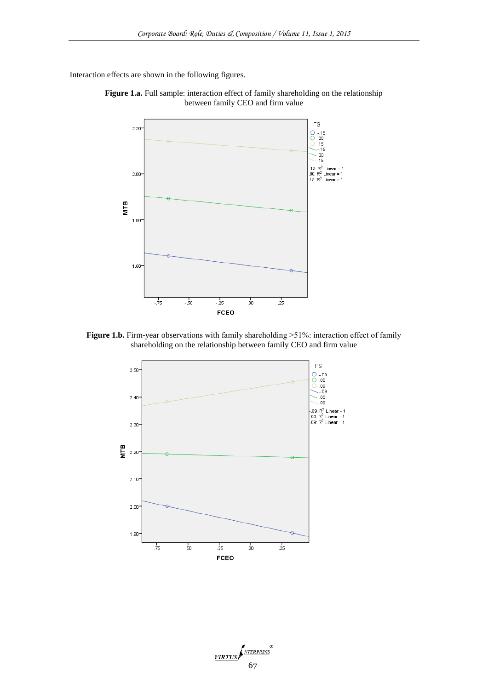Interaction effects are shown in the following figures.





Figure 1.b. Firm-year observations with family shareholding >51%: interaction effect of family shareholding on the relationship between family CEO and firm value



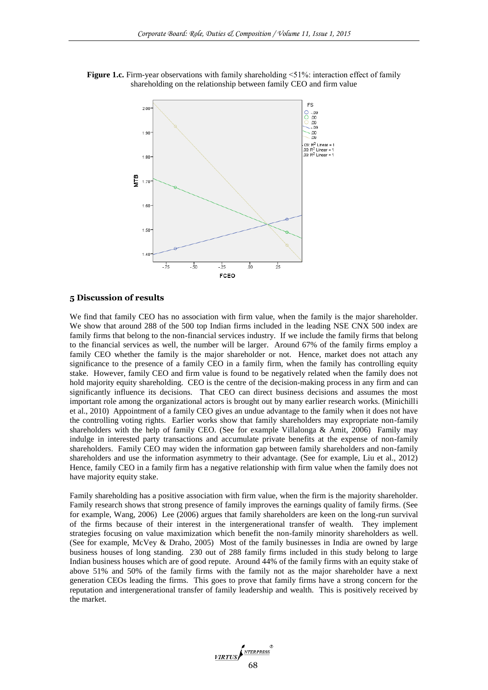**Figure 1.c.** Firm-year observations with family shareholding  $\leq 51\%$ : interaction effect of family shareholding on the relationship between family CEO and firm value



#### **5 Discussion of results**

We find that family CEO has no association with firm value, when the family is the major shareholder. We show that around 288 of the 500 top Indian firms included in the leading NSE CNX 500 index are family firms that belong to the non-financial services industry. If we include the family firms that belong to the financial services as well, the number will be larger. Around 67% of the family firms employ a family CEO whether the family is the major shareholder or not. Hence, market does not attach any significance to the presence of a family CEO in a family firm, when the family has controlling equity stake. However, family CEO and firm value is found to be negatively related when the family does not hold majority equity shareholding. CEO is the centre of the decision-making process in any firm and can significantly influence its decisions. That CEO can direct business decisions and assumes the most important role among the organizational actors is brought out by many earlier research works. (Minichilli et al., 2010) Appointment of a family CEO gives an undue advantage to the family when it does not have the controlling voting rights. Earlier works show that family shareholders may expropriate non-family shareholders with the help of family CEO. (See for example Villalonga  $\&$  Amit, 2006) Family may indulge in interested party transactions and accumulate private benefits at the expense of non-family shareholders. Family CEO may widen the information gap between family shareholders and non-family shareholders and use the information asymmetry to their advantage. (See for example, Liu et al., 2012) Hence, family CEO in a family firm has a negative relationship with firm value when the family does not have majority equity stake.

Family shareholding has a positive association with firm value, when the firm is the majority shareholder. Family research shows that strong presence of family improves the earnings quality of family firms. (See for example, Wang, 2006) Lee (2006) argues that family shareholders are keen on the long-run survival of the firms because of their interest in the intergenerational transfer of wealth. They implement strategies focusing on value maximization which benefit the non-family minority shareholders as well. (See for example, McVey & Draho, 2005) Most of the family businesses in India are owned by large business houses of long standing. 230 out of 288 family firms included in this study belong to large Indian business houses which are of good repute. Around 44% of the family firms with an equity stake of above 51% and 50% of the family firms with the family not as the major shareholder have a next generation CEOs leading the firms. This goes to prove that family firms have a strong concern for the reputation and intergenerational transfer of family leadership and wealth. This is positively received by the market.

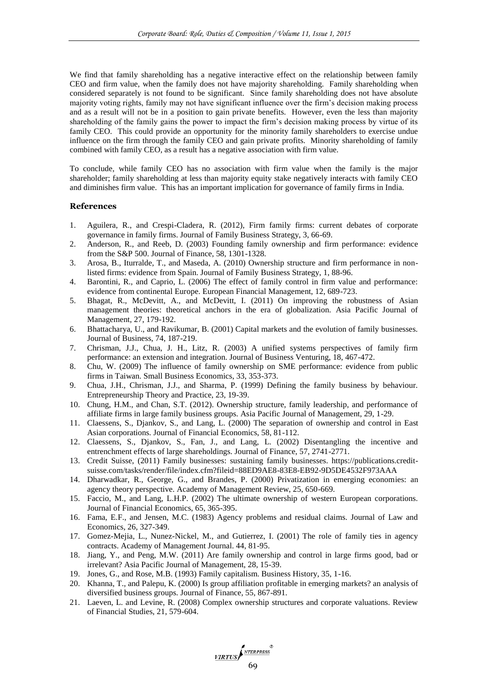We find that family shareholding has a negative interactive effect on the relationship between family CEO and firm value, when the family does not have majority shareholding. Family shareholding when considered separately is not found to be significant. Since family shareholding does not have absolute majority voting rights, family may not have significant influence over the firm's decision making process and as a result will not be in a position to gain private benefits. However, even the less than majority shareholding of the family gains the power to impact the firm's decision making process by virtue of its family CEO. This could provide an opportunity for the minority family shareholders to exercise undue influence on the firm through the family CEO and gain private profits. Minority shareholding of family combined with family CEO, as a result has a negative association with firm value.

To conclude, while family CEO has no association with firm value when the family is the major shareholder; family shareholding at less than majority equity stake negatively interacts with family CEO and diminishes firm value. This has an important implication for governance of family firms in India.

# **References**

- 1. Aguilera, R., and Crespi-Cladera, R. (2012), Firm family firms: current debates of corporate governance in family firms. Journal of Family Business Strategy, 3, 66-69.
- 2. Anderson, R., and Reeb, D. (2003) Founding family ownership and firm performance: evidence from the S&P 500. Journal of Finance, 58, 1301-1328.
- 3. Arosa, B., Iturralde, T., and Maseda, A. (2010) Ownership structure and firm performance in nonlisted firms: evidence from Spain. Journal of Family Business Strategy, 1, 88-96.
- 4. Barontini, R., and Caprio, L. (2006) The effect of family control in firm value and performance: evidence from continental Europe. European Financial Management, 12, 689-723.
- 5. Bhagat, R., McDevitt, A., and McDevitt, I. (2011) On improving the robustness of Asian management theories: theoretical anchors in the era of globalization. Asia Pacific Journal of Management, 27, 179-192.
- 6. Bhattacharya, U., and Ravikumar, B. (2001) Capital markets and the evolution of family businesses. Journal of Business, 74, 187-219.
- 7. Chrisman, J.J., Chua, J. H., Litz, R. (2003) A unified systems perspectives of family firm performance: an extension and integration. Journal of Business Venturing, 18, 467-472.
- 8. Chu, W. (2009) The influence of family ownership on SME performance: evidence from public firms in Taiwan. Small Business Economics, 33, 353-373.
- 9. Chua, J.H., Chrisman, J.J., and Sharma, P. (1999) Defining the family business by behaviour. Entrepreneurship Theory and Practice, 23, 19-39.
- 10. Chung, H.M., and Chan, S.T. (2012). Ownership structure, family leadership, and performance of affiliate firms in large family business groups. Asia Pacific Journal of Management, 29, 1-29.
- 11. Claessens, S., Djankov, S., and Lang, L. (2000) The separation of ownership and control in East Asian corporations. Journal of Financial Economics, 58, 81-112.
- 12. Claessens, S., Djankov, S., Fan, J., and Lang, L. (2002) Disentangling the incentive and entrenchment effects of large shareholdings. Journal of Finance, 57, 2741-2771.
- 13. Credit Suisse, (2011) Family businesses: sustaining family businesses. https://publications.creditsuisse.com/tasks/render/file/index.cfm?fileid=88ED9AE8-83E8-EB92-9D5DE4532F973AAA
- 14. Dharwadkar, R., George, G., and Brandes, P. (2000) Privatization in emerging economies: an agency theory perspective. Academy of Management Review, 25, 650-669.
- 15. Faccio, M., and Lang, L.H.P. (2002) The ultimate ownership of western European corporations. Journal of Financial Economics, 65, 365-395.
- 16. Fama, E.F., and Jensen, M.C. (1983) Agency problems and residual claims. Journal of Law and Economics, 26, 327-349.
- 17. Gomez-Mejia, L., Nunez-Nickel, M., and Gutierrez, I. (2001) The role of family ties in agency contracts. Academy of Management Journal. 44, 81-95.
- 18. Jiang, Y., and Peng, M.W. (2011) Are family ownership and control in large firms good, bad or irrelevant? Asia Pacific Journal of Management, 28, 15-39.
- 19. Jones, G., and Rose, M.B. (1993) Family capitalism. Business History, 35, 1-16.
- 20. Khanna, T., and Palepu, K. (2000) Is group affiliation profitable in emerging markets? an analysis of diversified business groups. Journal of Finance, 55, 867-891.
- 21. Laeven, L. and Levine, R. (2008) Complex ownership structures and corporate valuations. Review of Financial Studies, 21, 579-604.